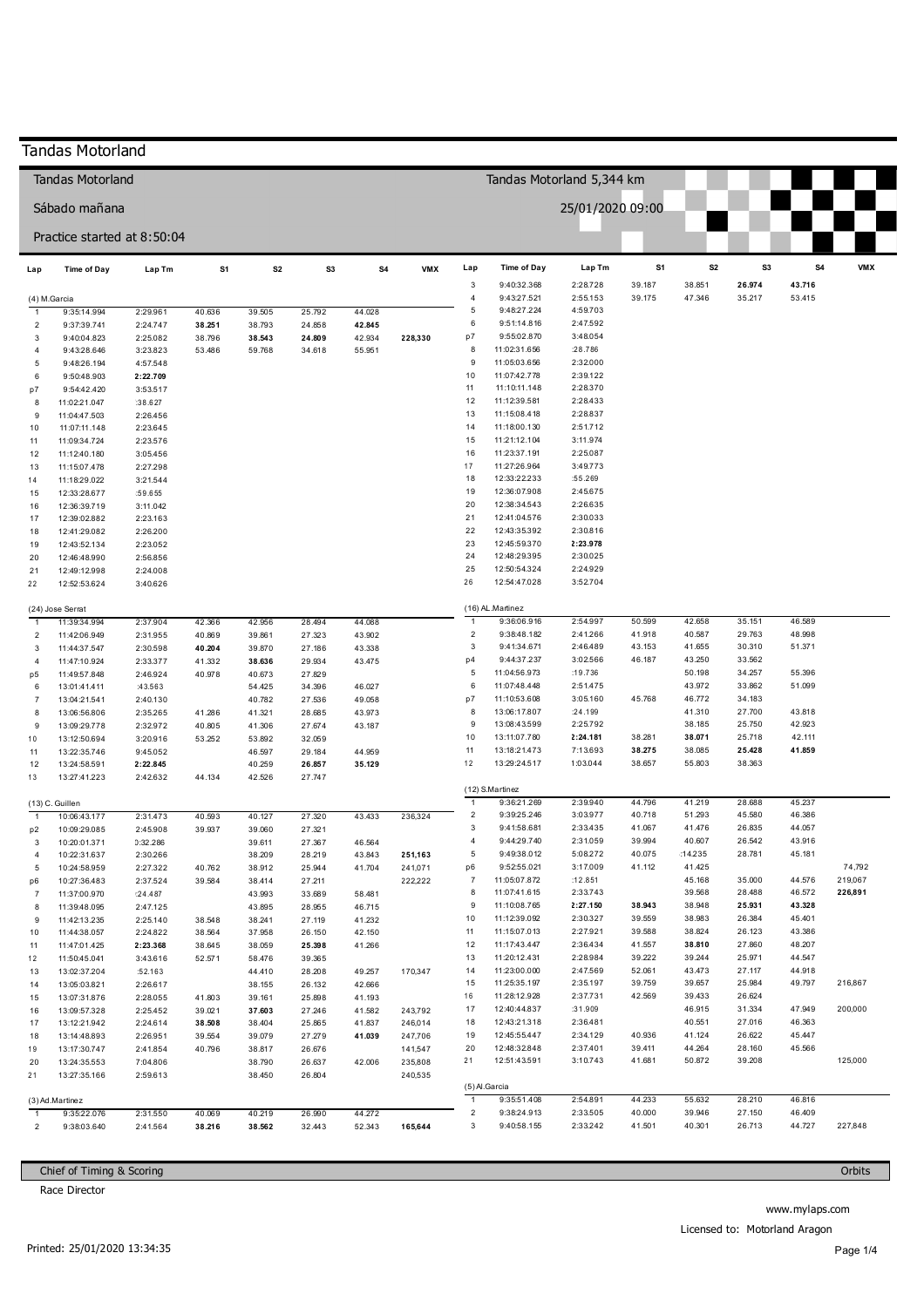|                                | <b>Tandas Motorland</b>        |                      |                  |                  |                  |                  |                           |                     |                              |                      |                  |                  |                  |                  |                    |
|--------------------------------|--------------------------------|----------------------|------------------|------------------|------------------|------------------|---------------------------|---------------------|------------------------------|----------------------|------------------|------------------|------------------|------------------|--------------------|
|                                | <b>Tandas Motorland</b>        |                      |                  |                  |                  |                  | Tandas Motorland 5,344 km |                     |                              |                      |                  |                  |                  |                  |                    |
|                                | Sábado mañana                  |                      |                  |                  |                  |                  |                           |                     |                              | 25/01/2020 09:00     |                  |                  |                  |                  |                    |
|                                | Practice started at 8:50:04    |                      |                  |                  |                  |                  |                           |                     |                              |                      |                  |                  |                  |                  |                    |
| Lap                            | <b>Time of Day</b>             | Lap Tm               | S1               | S <sub>2</sub>   | S3               | S4               | <b>VMX</b>                | Lap                 | Time of Day                  | Lap Tm               | S1               | S <sub>2</sub>   | S3               | S4               | <b>VMX</b>         |
|                                | (4) M.Garcia                   |                      |                  |                  |                  |                  |                           | 3<br>$\overline{4}$ | 9:40:32.368<br>9:43:27.521   | 2:28.728<br>2:55.153 | 39.187<br>39.175 | 38.851<br>47.346 | 26.974<br>35.217 | 43.716<br>53.415 |                    |
| $\mathbf{1}$                   | 9:35:14.994                    | 2:29.961             | 40.636           | 39.505           | 25.792           | 44.028           |                           | 5                   | 9:48:27.224                  | 4:59.703             |                  |                  |                  |                  |                    |
| $\overline{2}$                 | 9:37:39.741                    | 2:24.747             | 38.251           | 38.793           | 24.858           | 42.845           |                           | $\,6\,$             | 9:51:14.816                  | 2:47.592             |                  |                  |                  |                  |                    |
| 3<br>4                         | 9:40:04.823<br>9:43:28.646     | 2:25.082<br>3:23.823 | 38.796<br>53.486 | 38.543<br>59.768 | 24.809<br>34.618 | 42.934<br>55.951 | 228,330                   | p7<br>8             | 9:55:02.870<br>11:02:31.656  | 3:48.054<br>:28.786  |                  |                  |                  |                  |                    |
| 5                              | 9:48:26.194                    | 4:57.548             |                  |                  |                  |                  |                           | 9                   | 11:05:03.656                 | 2:32.000             |                  |                  |                  |                  |                    |
| 6                              | 9:50:48.903                    | 2:22.709             |                  |                  |                  |                  |                           | 10                  | 11:07:42.778                 | 2:39.122             |                  |                  |                  |                  |                    |
| p7                             | 9:54:42.420                    | 3:53.517             |                  |                  |                  |                  |                           | 11                  | 11:10:11.148                 | 2:28.370             |                  |                  |                  |                  |                    |
| 8<br>9                         | 11:02:21.047                   | :38.627              |                  |                  |                  |                  |                           | 12<br>13            | 11:12:39.581<br>11:15:08.418 | 2:28.433<br>2:28.837 |                  |                  |                  |                  |                    |
| 10                             | 11:04:47.503<br>11:07:11.148   | 2:26.456<br>2:23.645 |                  |                  |                  |                  |                           | 14                  | 11:18:00.130                 | 2:51.712             |                  |                  |                  |                  |                    |
| 11                             | 11:09:34.724                   | 2:23.576             |                  |                  |                  |                  |                           | 15                  | 11:21:12.104                 | 3:11.974             |                  |                  |                  |                  |                    |
| 12                             | 11:12:40.180                   | 3:05.456             |                  |                  |                  |                  |                           | 16                  | 11:23:37.191                 | 2:25.087             |                  |                  |                  |                  |                    |
| 13                             | 11:15:07.478                   | 2:27.298             |                  |                  |                  |                  |                           | 17                  | 11:27:26.964                 | 3:49.773             |                  |                  |                  |                  |                    |
| 14<br>15                       | 11:18:29.022<br>12:33:28.677   | 3:21.544<br>:59.655  |                  |                  |                  |                  |                           | 18<br>19            | 12:33:22.233<br>12:36:07.908 | :55.269<br>2:45.675  |                  |                  |                  |                  |                    |
| 16                             | 12:36:39.719                   | 3:11.042             |                  |                  |                  |                  |                           | 20                  | 12:38:34.543                 | 2:26.635             |                  |                  |                  |                  |                    |
| 17                             | 12:39:02.882                   | 2:23.163             |                  |                  |                  |                  |                           | 21                  | 12:41:04.576                 | 2:30.033             |                  |                  |                  |                  |                    |
| 18                             | 12:41:29.082                   | 2:26.200             |                  |                  |                  |                  |                           | 22                  | 12:43:35.392                 | 2:30.816             |                  |                  |                  |                  |                    |
| 19                             | 12:43:52.134                   | 2:23.052             |                  |                  |                  |                  |                           | 23<br>24            | 12:45:59.370<br>12:48:29.395 | 2:23.978<br>2:30.025 |                  |                  |                  |                  |                    |
| 20<br>21                       | 12:46:48.990<br>12:49:12.998   | 2:56.856<br>2:24.008 |                  |                  |                  |                  |                           | 25                  | 12:50:54.324                 | 2:24.929             |                  |                  |                  |                  |                    |
| 22                             | 12:52:53.624                   | 3:40.626             |                  |                  |                  |                  |                           | 26                  | 12:54:47.028                 | 3:52.704             |                  |                  |                  |                  |                    |
|                                | (24) Jose Serrat               |                      |                  |                  |                  |                  |                           |                     | (16) AL.Martinez             |                      |                  |                  |                  |                  |                    |
| -1                             | 11:39:34.994                   | 2:37.904             | 42.366           | 42.956           | 28.494           | 44.088           |                           | $\mathbf{1}$        | 9:36:06.916                  | 2:54.997             | 50.599           | 42.658           | 35.151           | 46.589           |                    |
| $\overline{2}$<br>3            | 11:42:06.949<br>11:44:37.547   | 2:31.955<br>2:30.598 | 40.869<br>40.204 | 39.861<br>39.870 | 27.323<br>27.186 | 43.902<br>43.338 |                           | $\sqrt{2}$<br>3     | 9:38:48.182<br>9:41:34.671   | 2:41.266<br>2:46.489 | 41.918<br>43.153 | 40.587<br>41.655 | 29.763<br>30.310 | 48.998<br>51.371 |                    |
| 4                              | 11:47:10.924                   | 2:33.377             | 41.332           | 38.636           | 29.934           | 43.475           |                           | p4                  | 9:44:37.237                  | 3:02.566             | 46.187           | 43.250           | 33.562           |                  |                    |
| p5                             | 11:49:57.848                   | 2:46.924             | 40.978           | 40.673           | 27.829           |                  |                           | 5                   | 11:04:56.973                 | :19.736              |                  | 50.198           | 34.257           | 55.396           |                    |
| 6                              | 13:01:41.411                   | :43.563              |                  | 54.425           | 34.396           | 46.027           |                           | 6                   | 11:07:48.448                 | 2:51.475             |                  | 43.972           | 33.862           | 51.099           |                    |
| $\overline{7}$                 | 13:04:21.541                   | 2:40.130             |                  | 40.782           | 27.536           | 49.058           |                           | p7<br>8             | 11:10:53.608<br>13:06:17.807 | 3:05.160<br>:24.199  | 45.768           | 46.772<br>41.310 | 34.183<br>27.700 | 43.818           |                    |
| 8<br>9                         | 13:06:56.806<br>13:09:29.778   | 2:35.265<br>2:32.972 | 41.286<br>40.805 | 41.321<br>41.306 | 28.685<br>27.674 | 43.973<br>43.187 |                           | 9                   | 13:08:43.599                 | 2:25.792             |                  | 38.185           | 25.750           | 42.923           |                    |
| 10                             | 13:12:50.694                   | 3:20.916             | 53.252           | 53.892           | 32.059           |                  |                           | 10                  | 13:11:07.780                 | 2:24.181             | 38.281           | 38.071           | 25.718           | 42.111           |                    |
| 11                             | 13:22:35.746                   | 9:45.052             |                  | 46.597           | 29.184           | 44.959           |                           | 11                  | 13:18:21.473                 | 7:13.693             | 38.275           | 38.085           | 25.428           | 41.859           |                    |
| 12                             | 13:24:58.591                   | 2:22.845             |                  | 40.259           | 26.857           | 35.129           |                           | 12                  | 13:29:24.517                 | 1:03.044             | 38.657           | 55.803           | 38.363           |                  |                    |
| 13                             | 13:27:41.223                   | 2:42.632             | 44.134           | 42.526           | 27.747           |                  |                           |                     | (12) S.Martinez              |                      |                  |                  |                  |                  |                    |
|                                | (13) C. Guillen                |                      |                  |                  |                  |                  |                           | $\overline{1}$      | 9:36:21.269                  | 2:39.940             | 44.796           | 41.219           | 28.688           | 45.237           |                    |
| $\mathbf{1}$<br>p <sub>2</sub> | 10:06:43.177<br>10:09:29.085   | 2:31.473<br>2:45.908 | 40.593<br>39.937 | 40.127<br>39.060 | 27.320<br>27.321 | 43.433           | 236,324                   | $\mathbf{2}$<br>3   | 9:39:25.246<br>9:41:58.681   | 3:03.977<br>2:33.435 | 40.718<br>41.067 | 51.293<br>41.476 | 45.580<br>26.835 | 46.386<br>44.057 |                    |
| 3                              | 10:20:01.371                   | 0:32.286             |                  | 39.611           | 27.367           | 46.564           |                           | 4                   | 9:44:29.740                  | 2:31.059             | 39.994           | 40.607           | 26.542           | 43.916           |                    |
| 4                              | 10:22:31.637                   | 2:30.266             |                  | 38.209           | 28.219           | 43.843           | 251,163                   | 5                   | 9:49:38.012                  | 5:08.272             | 40.075           | :14.235          | 28.781           | 45.181           |                    |
| 5                              | 10:24:58.959                   | 2:27.322             | 40.762           | 38.912           | 25.944           | 41.704           | 241,071                   | p6                  | 9:52:55.021                  | 3:17.009             | 41.112           | 41.425           |                  |                  | 74,792             |
| p6                             | 10:27:36.483                   | 2:37.524             | 39.584           | 38.414           | 27.211           |                  | 222,222                   | $\overline{7}$<br>8 | 11:05:07.872<br>11:07:41.615 | :12.851<br>2:33.743  |                  | 45.168<br>39.568 | 35.000<br>28.488 | 44.576<br>46.572 | 219,067<br>226,891 |
| $\overline{7}$<br>8            | 11:37:00.970<br>11:39:48.095   | :24.487<br>2:47.125  |                  | 43.993<br>43.895 | 33.689<br>28.955 | 58.481<br>46.715 |                           | 9                   | 11:10:08.765                 | 2:27.150             | 38.943           | 38.948           | 25.931           | 43.328           |                    |
| 9                              | 11:42:13.235                   | 2:25.140             | 38.548           | 38.241           | 27.119           | 41.232           |                           | 10                  | 11:12:39.092                 | 2:30.327             | 39.559           | 38.983           | 26.384           | 45.401           |                    |
| 10                             | 11:44:38.057                   | 2:24.822             | 38.564           | 37.958           | 26.150           | 42.150           |                           | 11                  | 11:15:07.013                 | 2:27.921             | 39.588           | 38.824           | 26.123           | 43.386           |                    |
| 11                             | 11:47:01.425                   | 2:23.368             | 38.645           | 38.059           | 25.398           | 41.266           |                           | 12                  | 11:17:43.447                 | 2:36.434             | 41.557           | 38.810           | 27.860           | 48.207           |                    |
| 12                             | 11:50:45.041                   | 3:43.616             | 52.571           | 58.476           | 39.365           |                  |                           | 13<br>14            | 11:20:12.431<br>11:23:00.000 | 2:28.984<br>2:47.569 | 39.222<br>52.061 | 39.244<br>43.473 | 25.971<br>27.117 | 44.547<br>44.918 |                    |
| 13<br>14                       | 13:02:37.204<br>13:05:03.821   | :52.163<br>2:26.617  |                  | 44.410<br>38.155 | 28.208<br>26.132 | 49.257<br>42.666 | 170,347                   | 15                  | 11:25:35.197                 | 2:35.197             | 39.759           | 39.657           | 25.984           | 49.797           | 216,867            |
| 15                             | 13:07:31.876                   | 2:28.055             | 41.803           | 39.161           | 25.898           | 41.193           |                           | 16                  | 11:28:12.928                 | 2:37.731             | 42.569           | 39.433           | 26.624           |                  |                    |
| 16                             | 13:09:57.328                   | 2:25.452             | 39.021           | 37.603           | 27.246           | 41.582           | 243,792                   | 17                  | 12:40:44.837                 | :31.909              |                  | 46.915           | 31.334           | 47.949           | 200,000            |
| 17                             | 13:12:21.942                   | 2:24.614             | 38.508           | 38.404           | 25.865           | 41.837           | 246,014                   | 18                  | 12:43:21.318                 | 2:36.481             |                  | 40.551           | 27.016           | 46.363           |                    |
| 18                             | 13:14:48.893                   | 2:26.951             | 39.554           | 39.079           | 27.279           | 41.039           | 247,706                   | 19<br>20            | 12:45:55.447<br>12:48:32.848 | 2:34.129<br>2:37.401 | 40.936<br>39.411 | 41.124<br>44.264 | 26.622<br>28.160 | 45.447<br>45.566 |                    |
| 19<br>20                       | 13:17:30.747<br>13:24:35.553   | 2:41.854<br>7:04.806 | 40.796           | 38.817<br>38.790 | 26.676<br>26.637 | 42.006           | 141,547<br>235,808        | 21                  | 12:51:43.591                 | 3:10.743             | 41.681           | 50.872           | 39.208           |                  | 125,000            |
| 21                             | 13:27:35.166                   | 2:59.613             |                  | 38.450           | 26.804           |                  | 240,535                   |                     |                              |                      |                  |                  |                  |                  |                    |
|                                |                                |                      |                  |                  |                  |                  |                           | $\overline{1}$      | (5) Al.Garcia                |                      | 44.233           |                  |                  |                  |                    |
| $\overline{1}$                 | (3) Ad.Martinez<br>9:35:22.076 | 2:31.550             | 40.069           | 40.219           | 26.990           | 44.272           |                           | $\boldsymbol{2}$    | 9:35:51.408<br>9:38:24.913   | 2:54.891<br>2:33.505 | 40.000           | 55.632<br>39.946 | 28.210<br>27.150 | 46.816<br>46.409 |                    |
| $\overline{2}$                 | 9:38:03.640                    | 2:41.564             | 38.216           | 38.562           | 32.443           | 52.343           | 165,644                   | $\mathbf{3}$        | 9:40:58.155                  | 2:33.242             | 41.501           | 40.301           | 26.713           | 44.727           | 227,848            |
|                                |                                |                      |                  |                  |                  |                  |                           |                     |                              |                      |                  |                  |                  |                  |                    |

Chief of Timing & Scoring

Race Director

Orbits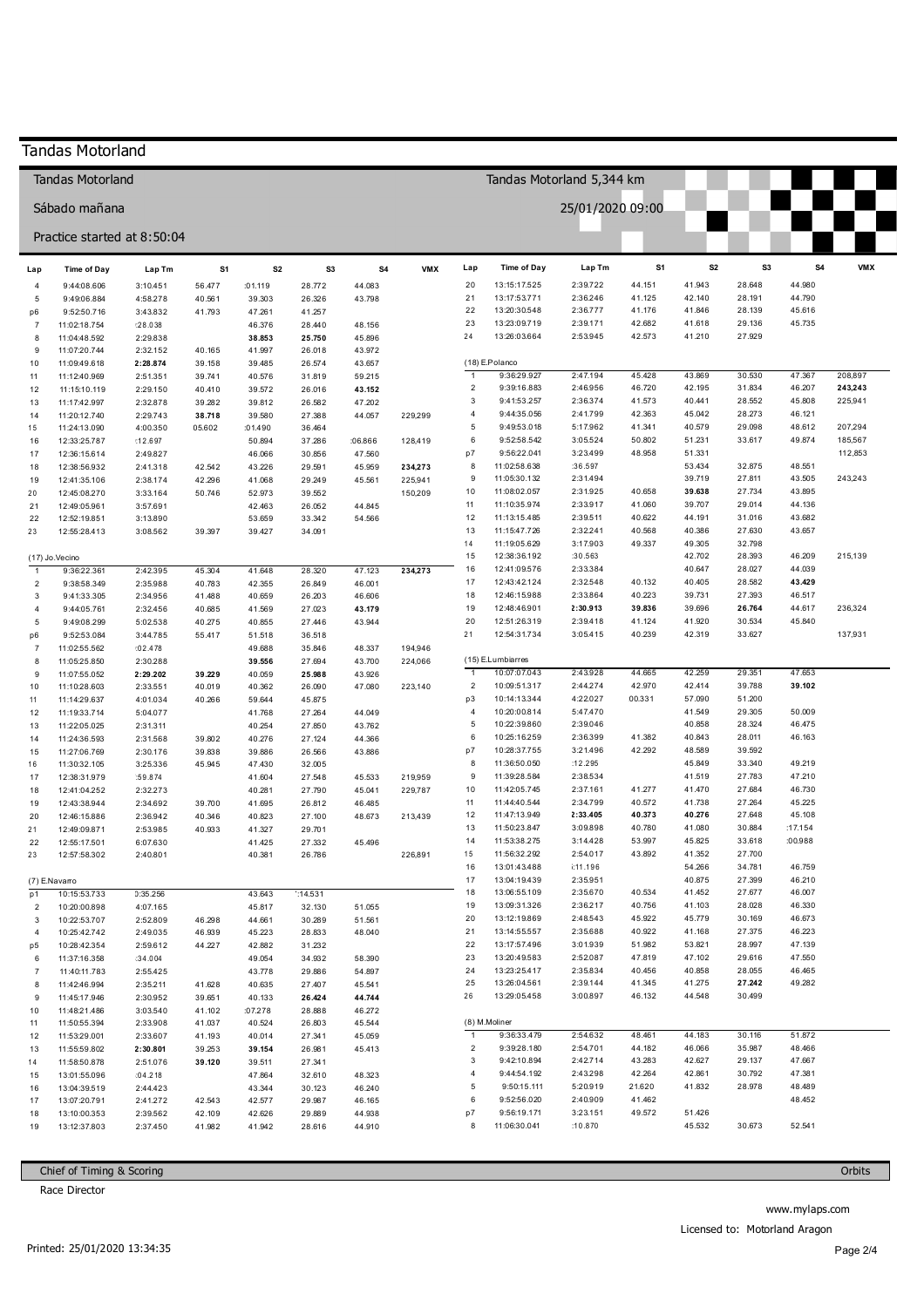| Tandas Motorland     |                              |                      |                  |                   |                  |                  |            |                                  | Tandas Motorland 5,344 km    |                      |                  |                  |                  |                   |            |
|----------------------|------------------------------|----------------------|------------------|-------------------|------------------|------------------|------------|----------------------------------|------------------------------|----------------------|------------------|------------------|------------------|-------------------|------------|
| Sábado mañana        |                              |                      |                  |                   |                  |                  |            |                                  |                              |                      |                  |                  |                  |                   |            |
|                      | Practice started at 8:50:04  |                      |                  |                   |                  |                  |            |                                  |                              |                      |                  |                  |                  |                   |            |
| Lap                  | <b>Time of Day</b>           | Lap Tm               | S1               | S <sub>2</sub>    | S3               | <b>S4</b>        | <b>VMX</b> | Lap                              | Time of Day                  | Lap Tm               | S1               | S <sub>2</sub>   | S <sub>3</sub>   | <b>S4</b>         | <b>VMX</b> |
| $\overline{4}$       | 9:44:08.606                  | 3:10.451             | 56.477           | :01.119           | 28.772           | 44.083           |            | 20                               | 13:15:17.525                 | 2:39.722             | 44.151           | 41.943           | 28.648           | 44.980            |            |
| 5                    | 9:49:06.884                  | 4:58.278             | 40.561           | 39.303            | 26.326           | 43.798           |            | 21                               | 13:17:53.771                 | 2:36.246             | 41.125           | 42.140           | 28.191           | 44.790            |            |
| p6                   | 9:52:50.716                  | 3:43.832             | 41.793           | 47.261            | 41.257           |                  |            | 22                               | 13:20:30.548                 | 2:36.777             | 41.176           | 41.846           | 28.139           | 45.616            |            |
| $\overline{7}$       | 11:02:18.754                 | :28.038              |                  | 46.376            | 28.440           | 48.156           |            | 23<br>24                         | 13:23:09.719<br>13:26:03.664 | 2:39.171<br>2:53.945 | 42.682<br>42.573 | 41.618<br>41.210 | 29.136<br>27.929 | 45.735            |            |
| 8<br>9               | 11:04:48.592<br>11:07:20.744 | 2:29.838<br>2:32.152 | 40.165           | 38.853<br>41.997  | 25.750<br>26.018 | 45.896<br>43.972 |            |                                  |                              |                      |                  |                  |                  |                   |            |
| 10                   | 11:09:49.618                 | 2:28.874             | 39.158           | 39.485            | 26.574           | 43.657           |            |                                  | (18) E.Polanco               |                      |                  |                  |                  |                   |            |
| 11                   | 11:12:40.969                 | 2:51.351             | 39.741           | 40.576            | 31.819           | 59.215           |            | $\overline{1}$                   | 9:36:29.927                  | 2:47.194             | 45.428           | 43.869           | 30.530           | 47.367            | 208,897    |
| 12                   | 11:15:10.119                 | 2:29.150             | 40.410           | 39.572            | 26.016           | 43.152           |            | $\overline{2}$                   | 9:39:16.883                  | 2:46.956             | 46.720           | 42.195           | 31.834           | 46.207            | 243,243    |
| 13                   | 11:17:42.997                 | 2:32.878             | 39.282           | 39.812            | 26.582           | 47.202           |            | 3                                | 9:41:53.257                  | 2:36.374             | 41.573           | 40.441           | 28.552           | 45.808            | 225,941    |
| 14                   | 11:20:12.740                 | 2:29.743             | 38.718<br>05.602 | 39.580            | 27.388           | 44.057           | 229,299    | $\overline{4}$<br>5              | 9:44:35.056<br>9:49:53.018   | 2:41.799<br>5:17.962 | 42.363<br>41.341 | 45.042<br>40.579 | 28.273<br>29.098 | 46.121<br>48.612  | 207,294    |
| 15<br>16             | 11:24:13.090<br>12:33:25.787 | 4:00.350<br>:12.697  |                  | :01.490<br>50.894 | 36.464<br>37.286 | :06.866          | 128,419    | 6                                | 9:52:58.542                  | 3:05.524             | 50.802           | 51.231           | 33.617           | 49.874            | 185,567    |
| 17                   | 12:36:15.614                 | 2:49.827             |                  | 46.066            | 30.856           | 47.560           |            | p7                               | 9:56:22.041                  | 3:23.499             | 48.958           | 51.331           |                  |                   | 112,853    |
| 18                   | 12:38:56.932                 | 2:41.318             | 42.542           | 43.226            | 29.591           | 45.959           | 234,273    | 8                                | 11:02:58.638                 | :36.597              |                  | 53.434           | 32.875           | 48.551            |            |
| 19                   | 12:41:35.106                 | 2:38.174             | 42.296           | 41.068            | 29.249           | 45.561           | 225,941    | 9                                | 11:05:30.132                 | 2:31.494             |                  | 39.719           | 27.811           | 43.505            | 243,243    |
| 20                   | 12:45:08.270                 | 3:33.164             | 50.746           | 52.973            | 39.552           |                  | 150,209    | 10                               | 11:08:02.057                 | 2:31.925             | 40.658           | 39.638           | 27.734           | 43.895            |            |
| 21                   | 12:49:05.961                 | 3:57.691             |                  | 42.463            | 26.052           | 44.845           |            | 11                               | 11:10:35.974                 | 2:33.917             | 41.060           | 39.707           | 29.014           | 44.136            |            |
| 22                   | 12:52:19.851                 | 3:13.890             |                  | 53.659            | 33.342           | 54.566           |            | 12<br>13                         | 11:13:15.485<br>11:15:47.726 | 2:39.511<br>2:32.241 | 40.622<br>40.568 | 44.191<br>40.386 | 31.016<br>27.630 | 43.682<br>43.657  |            |
| 23                   | 12:55:28.413                 | 3:08.562             | 39.397           | 39.427            | 34.091           |                  |            | 14                               | 11:19:05.629                 | 3:17.903             | 49.337           | 49.305           | 32.798           |                   |            |
|                      | (17) Jo.Vecino               |                      |                  |                   |                  |                  |            | 15                               | 12:38:36.192                 | :30.563              |                  | 42.702           | 28.393           | 46.209            | 215,139    |
| $\overline{1}$       | 9:36:22.361                  | 2:42.395             | 45.304           | 41.648            | 28.320           | 47.123           | 234,273    | 16                               | 12:41:09.576                 | 2:33.384             |                  | 40.647           | 28.027           | 44.039            |            |
| $\overline{2}$       | 9:38:58.349                  | 2:35.988             | 40.783           | 42.355            | 26.849           | 46.001           |            | 17                               | 12:43:42.124                 | 2:32.548             | 40.132           | 40.405           | 28.582           | 43.429            |            |
| 3                    | 9:41:33.305                  | 2:34.956             | 41.488           | 40.659            | 26.203           | 46.606           |            | 18                               | 12:46:15.988                 | 2:33.864             | 40.223           | 39.731           | 27.393           | 46.517            |            |
| $\overline{4}$       | 9:44:05.761                  | 2:32.456             | 40.685           | 41.569            | 27.023           | 43.179           |            | 19                               | 12:48:46.901                 | 2:30.913             | 39.836           | 39.696           | 26.764           | 44.617            | 236,324    |
| 5                    | 9:49:08.299                  | 5:02.538             | 40.275           | 40.855            | 27.446           | 43.944           |            | 20<br>21                         | 12:51:26.319<br>12:54:31.734 | 2:39.418<br>3:05.415 | 41.124<br>40.239 | 41.920<br>42.319 | 30.534<br>33.627 | 45.840            | 137,931    |
| p6<br>$\overline{7}$ | 9:52:53.084<br>11:02:55.562  | 3:44.785<br>:02.478  | 55.417           | 51.518<br>49.688  | 36.518<br>35.846 | 48.337           | 194,946    |                                  |                              |                      |                  |                  |                  |                   |            |
| 8                    | 11:05:25.850                 | 2:30.288             |                  | 39.556            | 27.694           | 43.700           | 224,066    |                                  | (15) E.Lumbiarres            |                      |                  |                  |                  |                   |            |
| 9                    | 11:07:55.052                 | 2:29.202             | 39.229           | 40.059            | 25.988           | 43.926           |            | $\overline{1}$                   | 10:07:07.043                 | 2:43.928             | 44.665           | 42.259           | 29.351           | 47.653            |            |
| 10                   | 11:10:28.603                 | 2:33.551             | 40.019           | 40.362            | 26.090           | 47.080           | 223,140    | $\overline{2}$                   | 10:09:51.317                 | 2:44.274             | 42.970           | 42.414           | 39.788           | 39.102            |            |
| 11                   | 11:14:29.637                 | 4:01.034             | 40.266           | 59.644            | 45.875           |                  |            | p3                               | 10:14:13.344                 | 4:22.027             | 00.331           | 57.090           | 51.200           |                   |            |
| 12                   | 11:19:33.714                 | 5:04.077             |                  | 41.768            | 27.264           | 44.049           |            | $\overline{4}$                   | 10:20:00.814                 | 5:47.470             |                  | 41.549           | 29.305           | 50.009            |            |
| 13                   | 11:22:05.025                 | 2:31.311<br>2:31.568 | 39.802           | 40.254<br>40.276  | 27.850<br>27.124 | 43.762           |            | 5<br>6                           | 10:22:39.860<br>10:25:16.259 | 2:39.046<br>2:36.399 | 41.382           | 40.858<br>40.843 | 28.324<br>28.011 | 46.475<br>46.163  |            |
| 14<br>15             | 11:24:36.593<br>11:27:06.769 | 2:30.176             | 39.838           | 39.886            | 26.566           | 44.366<br>43.886 |            | p7                               | 10:28:37.755                 | 3:21.496             | 42.292           | 48.589           | 39.592           |                   |            |
| 16                   | 11:30:32.105                 | 3:25.336             | 45.945           | 47.430            | 32.005           |                  |            | 8                                | 11:36:50.050                 | :12.295              |                  | 45.849           | 33.340           | 49.219            |            |
| 17                   | 12:38:31.979                 | :59.874              |                  | 41.604            | 27.548           | 45.533           | 219,959    | 9                                | 11:39:28.584                 | 2:38.534             |                  | 41.519           | 27.783           | 47.210            |            |
| 18                   | 12:41:04.252                 | 2:32.273             |                  | 40.281            | 27.790           | 45.041           | 229,787    | 10                               | 11:42:05.745                 | 2:37.161             | 41.277           | 41.470           | 27.684           | 46.730            |            |
| 19                   | 12:43:38.944                 | 2:34.692             | 39.700           | 41.695            | 26.812           | 46.485           |            | 11                               | 11:44:40.544                 | 2:34.799             | 40.572           | 41.738           | 27.264           | 45.225            |            |
| 20                   | 12:46:15.886                 | 2:36.942             | 40.346           | 40.823            | 27.100           | 48.673           | 213,439    | 12<br>13                         | 11:47:13.949<br>11:50:23.847 | 2:33.405<br>3:09.898 | 40.373<br>40.780 | 40.276<br>41.080 | 27.648<br>30.884 | 45.108<br>:17.154 |            |
| 21<br>22             | 12:49:09.871<br>12:55:17.501 | 2:53.985<br>6:07.630 | 40.933           | 41.327<br>41.425  | 29.701<br>27.332 | 45.496           |            | 14                               | 11:53:38.275                 | 3:14.428             | 53.997           | 45.825           | 33.618           | :00.988           |            |
| 23                   | 12:57:58.302                 | 2:40.801             |                  | 40.381            | 26.786           |                  | 226,891    | 15                               | 11:56:32.292                 | 2:54.017             | 43.892           | 41.352           | 27.700           |                   |            |
|                      |                              |                      |                  |                   |                  |                  |            | 16                               | 13:01:43.488                 | i:11.196             |                  | 54.266           | 34.781           | 46.759            |            |
|                      | (7) E.Navarro                |                      |                  |                   |                  |                  |            | 17                               | 13:04:19.439                 | 2:35.951             |                  | 40.875           | 27.399           | 46.210            |            |
| p1                   | 10:15:53.733                 | 0:35.256             |                  | 43.643            | :14.531          |                  |            | 18                               | 13:06:55.109                 | 2:35.670             | 40.534           | 41.452           | 27.677           | 46.007            |            |
| $\overline{2}$       | 10:20:00.898                 | 4:07.165             |                  | 45.817            | 32.130           | 51.055           |            | 19                               | 13:09:31.326                 | 2:36.217             | 40.756           | 41.103           | 28.028           | 46.330            |            |
| 3                    | 10:22:53.707                 | 2:52.809             | 46.298           | 44.661            | 30.289           | 51.561           |            | 20<br>21                         | 13:12:19.869<br>13:14:55.557 | 2:48.543<br>2:35.688 | 45.922<br>40.922 | 45.779<br>41.168 | 30.169<br>27.375 | 46.673<br>46.223  |            |
| 4<br>p5              | 10:25:42.742<br>10:28:42.354 | 2:49.035<br>2:59.612 | 46.939<br>44.227 | 45.223<br>42.882  | 28.833<br>31.232 | 48.040           |            | 22                               | 13:17:57.496                 | 3:01.939             | 51.982           | 53.821           | 28.997           | 47.139            |            |
| 6                    | 11:37:16.358                 | :34.004              |                  | 49.054            | 34.932           | 58.390           |            | 23                               | 13:20:49.583                 | 2:52.087             | 47.819           | 47.102           | 29.616           | 47.550            |            |
| $\overline{7}$       | 11:40:11.783                 | 2:55.425             |                  | 43.778            | 29.886           | 54.897           |            | 24                               | 13:23:25.417                 | 2:35.834             | 40.456           | 40.858           | 28.055           | 46.465            |            |
| 8                    | 11:42:46.994                 | 2:35.211             | 41.628           | 40.635            | 27.407           | 45.541           |            | 25                               | 13:26:04.561                 | 2:39.144             | 41.345           | 41.275           | 27.242           | 49.282            |            |
| 9                    | 11:45:17.946                 | 2:30.952             | 39.651           | 40.133            | 26.424           | 44.744           |            | 26                               | 13:29:05.458                 | 3:00.897             | 46.132           | 44.548           | 30.499           |                   |            |
| 10                   | 11:48:21.486                 | 3:03.540             | 41.102           | :07.278           | 28.888           | 46.272           |            |                                  |                              |                      |                  |                  |                  |                   |            |
| 11                   | 11:50:55.394                 | 2:33.908             | 41.037           | 40.524            | 26.803           | 45.544           |            |                                  | (8) M.Moliner                |                      |                  |                  |                  |                   |            |
| 12<br>13             | 11:53:29.001<br>11:55:59.802 | 2:33.607<br>2:30.801 | 41.193<br>39.253 | 40.014<br>39.154  | 27.341<br>26.981 | 45.059<br>45.413 |            | $\overline{1}$<br>$\overline{2}$ | 9:36:33.479<br>9:39:28.180   | 2:54.632<br>2:54.701 | 48.461<br>44.182 | 44.183<br>46.066 | 30.116<br>35.987 | 51.872<br>48.466  |            |
| 14                   | 11:58:50.878                 | 2:51.076             | 39.120           | 39.511            | 27.341           |                  |            | 3                                | 9:42:10.894                  | 2:42.714             | 43.283           | 42.627           | 29.137           | 47.667            |            |
| 15                   | 13:01:55.096                 | :04.218              |                  | 47.864            | 32.610           | 48.323           |            | $\overline{4}$                   | 9:44:54.192                  | 2:43.298             | 42.264           | 42.861           | 30.792           | 47.381            |            |
| 16                   | 13:04:39.519                 | 2:44.423             |                  | 43.344            | 30.123           | 46.240           |            | 5                                | 9:50:15.111                  | 5:20.919             | 21.620           | 41.832           | 28.978           | 48.489            |            |
| 17                   | 13:07:20.791                 | 2:41.272             | 42.543           | 42.577            | 29.987           | 46.165           |            | 6                                | 9:52:56.020                  | 2:40.909             | 41.462           |                  |                  | 48.452            |            |
| 18                   | 13:10:00.353                 | 2:39.562             | 42.109           | 42.626            | 29.889           | 44.938           |            | p7                               | 9:56:19.171                  | 3:23.151             | 49.572           | 51.426           |                  |                   |            |
| 19                   | 13:12:37.803                 | 2:37.450             | 41.982           | 41.942            | 28.616           | 44.910           |            | 8                                | 11:06:30.041                 | :10.870              |                  | 45.532           | 30.673           | 52.541            |            |

Chief of Timing & Scoring

Race Director

Orbits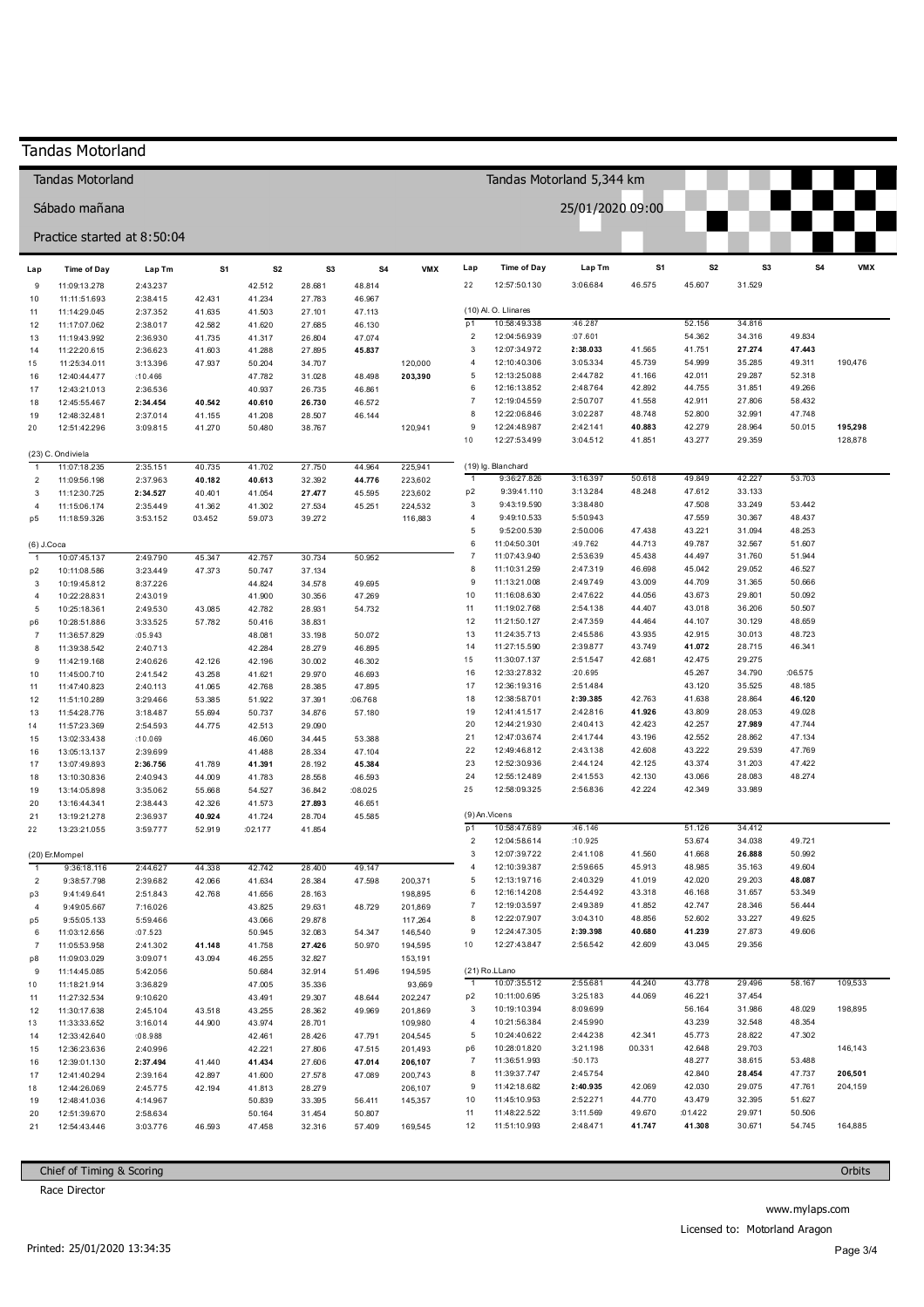|                                | Tandas Motorland             |                      |                  |                   |                  |                   |                    |                         |                              |                      |                  |                  |                  |                  |                    |
|--------------------------------|------------------------------|----------------------|------------------|-------------------|------------------|-------------------|--------------------|-------------------------|------------------------------|----------------------|------------------|------------------|------------------|------------------|--------------------|
| Tandas Motorland               |                              |                      |                  |                   |                  |                   |                    |                         | Tandas Motorland 5,344 km    |                      |                  |                  |                  |                  |                    |
|                                | Sábado mañana                |                      |                  |                   | 25/01/2020 09:00 |                   |                    |                         |                              |                      |                  |                  |                  |                  |                    |
|                                | Practice started at 8:50:04  |                      |                  |                   |                  |                   |                    |                         |                              |                      |                  |                  |                  |                  |                    |
| Lap                            | Time of Day                  | Lap Tm               | S1               | S <sub>2</sub>    | S3               | S4                | <b>VMX</b>         | Lap                     | Time of Day                  | Lap Tm               | S1               | S <sub>2</sub>   | S3               | <b>S4</b>        | <b>VMX</b>         |
| 9                              | 11:09:13.278                 | 2:43.237             |                  | 42.512            | 28.681           | 48.814            |                    | 22                      | 12:57:50.130                 | 3:06.684             | 46.575           | 45.607           | 31.529           |                  |                    |
| 10                             | 11:11:51.693                 | 2:38.415             | 42.431           | 41.234            | 27.783           | 46.967            |                    |                         |                              |                      |                  |                  |                  |                  |                    |
| 11                             | 11:14:29.045                 | 2:37.352             | 41.635           | 41.503            | 27.101           | 47.113            |                    |                         | (10) Al. O. Llinares         |                      |                  |                  |                  |                  |                    |
| 12                             | 11:17:07.062                 | 2:38.017             | 42.582           | 41.620            | 27.685           | 46.130            |                    | p1<br>$\overline{c}$    | 10:58:49.338<br>12:04:56.939 | :46.287<br>:07.601   |                  | 52.156<br>54.362 | 34.816<br>34.316 | 49.834           |                    |
| 13<br>14                       | 11:19:43.992<br>11:22:20.615 | 2:36.930<br>2:36.623 | 41.735<br>41.603 | 41.317<br>41.288  | 26.804<br>27.895 | 47.074<br>45.837  |                    | 3                       | 12:07:34.972                 | 2:38.033             | 41.565           | 41.751           | 27.274           | 47.443           |                    |
| 15                             | 11:25:34.011                 | 3:13.396             | 47.937           | 50.204            | 34.707           |                   | 120,000            | $\overline{4}$          | 12:10:40.306                 | 3:05.334             | 45.739           | 54.999           | 35.285           | 49.311           | 190,476            |
| 16                             | 12:40:44.477                 | :10.466              |                  | 47.782            | 31.028           | 48.498            | 203,390            | $\sqrt{5}$              | 12:13:25.088                 | 2:44.782             | 41.166           | 42.011           | 29.287           | 52.318           |                    |
| 17                             | 12:43:21.013                 | 2:36.536             |                  | 40.937            | 26.735           | 46.861            |                    | 6                       | 12:16:13.852                 | 2:48.764             | 42.892           | 44.755           | 31.851           | 49.266           |                    |
| 18                             | 12:45:55.467                 | 2:34.454             | 40.542           | 40.610            | 26.730           | 46.572            |                    | $\overline{7}$          | 12:19:04.559                 | 2:50.707             | 41.558           | 42.911           | 27.806           | 58.432           |                    |
| 19                             | 12:48:32.481                 | 2:37.014             | 41.155           | 41.208            | 28.507           | 46.144            |                    | 8                       | 12:22:06.846                 | 3:02.287             | 48.748           | 52.800           | 32.991           | 47.748           |                    |
| 20                             | 12:51:42.296                 | 3:09.815             | 41.270           | 50.480            | 38.767           |                   | 120,941            | 9<br>10                 | 12:24:48.987<br>12:27:53.499 | 2:42.141<br>3:04.512 | 40.883<br>41.851 | 42.279<br>43.277 | 28.964<br>29.359 | 50.015           | 195,298<br>128,878 |
|                                | (23) C. Ondiviela            |                      |                  |                   |                  |                   |                    |                         |                              |                      |                  |                  |                  |                  |                    |
|                                | 11:07:18.235                 | 2:35.151             | 40.735           | 41.702            | 27.750           | 44.964            | 225,941            |                         | (19) Ig. Blanchard           |                      |                  |                  |                  |                  |                    |
| $\overline{2}$                 | 11:09:56.198                 | 2:37.963             | 40.182           | 40.613            | 32.392           | 44.776            | 223,602            | $\overline{1}$          | 9:36:27.826                  | 3:16.397             | 50.618           | 49.849           | 42.227           | 53.703           |                    |
| 3                              | 11:12:30.725                 | 2:34.527             | 40.401           | 41.054            | 27.477           | 45.595            | 223,602            | p <sub>2</sub>          | 9:39:41.110                  | 3:13.284             | 48.248           | 47.612           | 33.133           |                  |                    |
| $\overline{4}$                 | 11:15:06.174                 | 2:35.449             | 41.362           | 41.302            | 27.534           | 45.251            | 224,532            | 3                       | 9:43:19.590                  | 3:38.480             |                  | 47.508           | 33.249           | 53.442           |                    |
| p <sub>5</sub>                 | 11:18:59.326                 | 3:53.152             | 03.452           | 59.073            | 39.272           |                   | 116,883            | 4                       | 9:49:10.533                  | 5:50.943             |                  | 47.559           | 30.367           | 48.437           |                    |
|                                |                              |                      |                  |                   |                  |                   |                    | 5                       | 9:52:00.539                  | 2:50.006             | 47.438           | 43.221           | 31.094           | 48.253           |                    |
| $(6)$ J.Coca                   |                              |                      |                  | 42.757            |                  | 50.952            |                    | 6<br>$\overline{7}$     | 11:04:50.301<br>11:07:43.940 | :49.762<br>2:53.639  | 44.713<br>45.438 | 49.787<br>44.497 | 32.567<br>31.760 | 51.607<br>51.944 |                    |
| $\mathbf{1}$<br>p <sub>2</sub> | 10:07:45.137<br>10:11:08.586 | 2:49.790<br>3:23.449 | 45.347<br>47.373 | 50.747            | 30.734<br>37.134 |                   |                    | 8                       | 11:10:31.259                 | 2:47.319             | 46.698           | 45.042           | 29.052           | 46.527           |                    |
| 3                              | 10:19:45.812                 | 8:37.226             |                  | 44.824            | 34.578           | 49.695            |                    | 9                       | 11:13:21.008                 | 2:49.749             | 43.009           | 44.709           | 31.365           | 50.666           |                    |
| $\overline{4}$                 | 10:22:28.831                 | 2:43.019             |                  | 41.900            | 30.356           | 47.269            |                    | 10                      | 11:16:08.630                 | 2:47.622             | 44.056           | 43.673           | 29.801           | 50.092           |                    |
| 5                              | 10:25:18.361                 | 2:49.530             | 43.085           | 42.782            | 28.931           | 54.732            |                    | 11                      | 11:19:02.768                 | 2:54.138             | 44.407           | 43.018           | 36.206           | 50.507           |                    |
| p6                             | 10:28:51.886                 | 3:33.525             | 57.782           | 50.416            | 38.831           |                   |                    | 12                      | 11:21:50.127                 | 2:47.359             | 44.464           | 44.107           | 30.129           | 48.659           |                    |
| $\overline{7}$                 | 11:36:57.829                 | :05.943              |                  | 48.081            | 33.198           | 50.072            |                    | 13                      | 11:24:35.713                 | 2:45.586             | 43.935           | 42.915           | 30.013           | 48.723           |                    |
| 8                              | 11:39:38.542                 | 2:40.713             |                  | 42.284            | 28.279           | 46.895            |                    | 14                      | 11:27:15.590                 | 2:39.877             | 43.749           | 41.072           | 28.715           | 46.341           |                    |
| 9                              | 11:42:19.168                 | 2:40.626             | 42.126           | 42.196            | 30.002           | 46.302            |                    | 15                      | 11:30:07.137                 | 2:51.547             | 42.681           | 42.475           | 29.275           |                  |                    |
| 10                             | 11:45:00.710                 | 2:41.542             | 43.258           | 41.621            | 29.970           | 46.693            |                    | 16                      | 12:33:27.832                 | :20.695              |                  | 45.267           | 34.790           | :06.575          |                    |
| 11                             | 11:47:40.823                 | 2:40.113             | 41.065           | 42.768<br>51.922  | 28.385           | 47.895<br>:06.768 |                    | 17<br>18                | 12:36:19.316<br>12:38:58.701 | 2:51.484<br>2:39.385 | 42.763           | 43.120<br>41.638 | 35.525<br>28.864 | 48.185<br>46.120 |                    |
| 12<br>13                       | 11:51:10.289<br>11:54:28.776 | 3:29.466<br>3:18.487 | 53.385<br>55.694 | 50.737            | 37.391<br>34.876 | 57.180            |                    | 19                      | 12:41:41.517                 | 2:42.816             | 41.926           | 43.809           | 28.053           | 49.028           |                    |
| 14                             | 11:57:23.369                 | 2:54.593             | 44.775           | 42.513            | 29.090           |                   |                    | 20                      | 12:44:21.930                 | 2:40.413             | 42.423           | 42.257           | 27.989           | 47.744           |                    |
| 15                             | 13:02:33.438                 | :10.069              |                  | 46.060            | 34.445           | 53.388            |                    | 21                      | 12:47:03.674                 | 2:41.744             | 43.196           | 42.552           | 28.862           | 47.134           |                    |
| 16                             | 13:05:13.137                 | 2:39.699             |                  | 41.488            | 28.334           | 47.104            |                    | 22                      | 12:49:46.812                 | 2:43.138             | 42.608           | 43.222           | 29.539           | 47.769           |                    |
| 17                             | 13:07:49.893                 | 2:36.756             | 41.789           | 41.391            | 28.192           | 45.384            |                    | 23                      | 12:52:30.936                 | 2:44.124             | 42.125           | 43.374           | 31.203           | 47.422           |                    |
| 18                             | 13:10:30.836                 | 2:40.943             | 44.009           | 41.783            | 28.558           | 46.593            |                    | 24                      | 12:55:12.489                 | 2:41.553             | 42.130           | 43.066           | 28.083           | 48.274           |                    |
| 19                             | 13:14:05.898                 | 3:35.062             | 55.668           | 54.527            | 36.842           | :08.025           |                    | 25                      | 12:58:09.325                 | 2:56.836             | 42.224           | 42.349           | 33.989           |                  |                    |
| 20                             | 13:16:44.341                 | 2:38.443             | 42.326           | 41.573            | 27.893           | 46.651            |                    |                         | (9) An.Vicens                |                      |                  |                  |                  |                  |                    |
| 21<br>22                       | 13:19:21.278<br>13:23:21.055 | 2:36.937<br>3:59.777 | 40.924<br>52.919 | 41.724<br>:02.177 | 28.704<br>41.854 | 45.585            |                    | p <sub>1</sub>          | 10:58:47.689                 | :46.146              |                  | 51.126           | 34.412           |                  |                    |
|                                |                              |                      |                  |                   |                  |                   |                    | $\overline{\mathbf{c}}$ | 12:04:58.614                 | :10.925              |                  | 53.674           | 34.038           | 49.721           |                    |
|                                | (20) Er.Mompel               |                      |                  |                   |                  |                   |                    | $\mathsf 3$             | 12:07:39.722                 | 2:41.108             | 41.560           | 41.668           | 26.888           | 50.992           |                    |
| $\overline{1}$                 | 9:36:18.116                  | 2:44.627             | 44.338           | 42.742            | 28.400           | 49.147            |                    | $\overline{4}$          | 12:10:39.387                 | 2:59.665             | 45.913           | 48.985           | 35.163           | 49.604           |                    |
| $\overline{2}$                 | 9:38:57.798                  | 2:39.682             | 42.066           | 41.634            | 28.384           | 47.598            | 200,371            | $\sqrt{5}$              | 12:13:19.716                 | 2:40.329             | 41.019           | 42.020           | 29.203           | 48.087           |                    |
| p3                             | 9:41:49.641                  | 2:51.843             | 42.768           | 41.656            | 28.163           |                   | 198,895            | 6                       | 12:16:14.208                 | 2:54.492             | 43.318           | 46.168           | 31.657           | 53.349           |                    |
| $\overline{4}$                 | 9:49:05.667                  | 7:16.026             |                  | 43.825            | 29.631           | 48.729            | 201,869            | $\overline{7}$<br>8     | 12:19:03.597<br>12:22:07.907 | 2:49.389<br>3:04.310 | 41.852           | 42.747           | 28.346<br>33.227 | 56.444<br>49.625 |                    |
| p5<br>6                        | 9:55:05.133<br>11:03:12.656  | 5:59.466<br>:07.523  |                  | 43.066<br>50.945  | 29.878<br>32.083 | 54.347            | 117,264<br>146,540 | 9                       | 12:24:47.305                 | 2:39.398             | 48.856<br>40.680 | 52.602<br>41.239 | 27.873           | 49.606           |                    |
| $\overline{7}$                 | 11:05:53.958                 | 2:41.302             | 41.148           | 41.758            | 27.426           | 50.970            | 194,595            | 10                      | 12:27:43.847                 | 2:56.542             | 42.609           | 43.045           | 29.356           |                  |                    |
| p8                             | 11:09:03.029                 | 3:09.071             | 43.094           | 46.255            | 32.827           |                   | 153,191            |                         |                              |                      |                  |                  |                  |                  |                    |
| 9                              | 11:14:45.085                 | 5:42.056             |                  | 50.684            | 32.914           | 51.496            | 194,595            |                         | (21) Ro.LLano                |                      |                  |                  |                  |                  |                    |
| 10                             | 11:18:21.914                 | 3:36.829             |                  | 47.005            | 35.336           |                   | 93,669             | $\overline{1}$          | 10:07:35.512                 | 2:55.681             | 44.240           | 43.778           | 29.496           | 58.167           | 109,533            |
| 11                             | 11:27:32.534                 | 9:10.620             |                  | 43.491            | 29.307           | 48.644            | 202,247            | p2                      | 10:11:00.695                 | 3:25.183             | 44.069           | 46.221           | 37.454           |                  |                    |
| 12                             | 11:30:17.638                 | 2:45.104             | 43.518           | 43.255            | 28.362           | 49.969            | 201,869            | 3                       | 10:19:10.394                 | 8:09.699             |                  | 56.164           | 31.986           | 48.029           | 198,895            |
| 13                             | 11:33:33.652                 | 3:16.014             | 44.900           | 43.974            | 28.701           |                   | 109,980            | $\overline{a}$          | 10:21:56.384                 | 2:45.990             |                  | 43.239           | 32.548           | 48.354           |                    |
| 14                             | 12:33:42.640                 | :08.988              |                  | 42.461            | 28.426           | 47.791            | 204,545            | 5                       | 10:24:40.622                 | 2:44.238             | 42.341           | 45.773           | 28.822           | 47.302           |                    |
| 15                             | 12:36:23.636                 | 2:40.996             |                  | 42.221            | 27.806           | 47.515            | 201,493            | p6<br>$\overline{7}$    | 10:28:01.820                 | 3:21.198             | 00.331           | 42.648<br>48.277 | 29.703<br>38.615 |                  | 146,143            |
| 16<br>17                       | 12:39:01.130                 | 2:37.494             | 41.440           | 41.434            | 27.606           | 47.014            | 206,107            | 8                       | 11:36:51.993<br>11:39:37.747 | :50.173<br>2:45.754  |                  | 42.840           | 28.454           | 53.488<br>47.737 | 206,501            |
| 18                             | 12:41:40.294<br>12:44:26.069 | 2:39.164<br>2:45.775 | 42.897<br>42.194 | 41.600<br>41.813  | 27.578<br>28.279 | 47.089            | 200,743<br>206,107 | 9                       | 11:42:18.682                 | 2:40.935             | 42.069           | 42.030           | 29.075           | 47.761           | 204,159            |
| 19                             | 12:48:41.036                 | 4:14.967             |                  | 50.839            | 33.395           | 56.411            | 145,357            | 10                      | 11:45:10.953                 | 2:52.271             | 44.770           | 43.479           | 32.395           | 51.627           |                    |
| 20                             | 12:51:39.670                 | 2:58.634             |                  | 50.164            | 31.454           | 50.807            |                    | 11                      | 11:48:22.522                 | 3:11.569             | 49.670           | :01.422          | 29.971           | 50.506           |                    |
| 21                             | 12:54:43.446                 | 3:03.776             | 46.593           | 47.458            | 32.316           | 57.409            | 169,545            | 12                      | 11:51:10.993                 | 2:48.471             | 41.747           | 41.308           | 30.671           | 54.745           | 164,885            |
|                                |                              |                      |                  |                   |                  |                   |                    |                         |                              |                      |                  |                  |                  |                  |                    |

Chief of Timing & Scoring

Race Director

Orbits